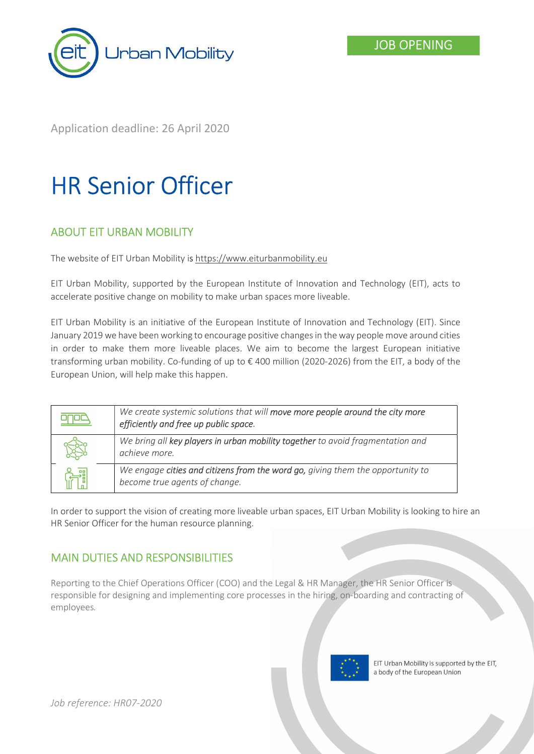

Application deadline: 26 April 2020

# HR Senior Officer

# ABOUT EIT URBAN MOBILITY

The website of EIT Urban Mobility is https://www.eiturbanmobility.eu

EIT Urban Mobility, supported by the European Institute of Innovation and Technology (EIT), acts to accelerate positive change on mobility to make urban spaces more liveable.

EIT Urban Mobility is an initiative of the European Institute of Innovation and Technology (EIT). Since January 2019 we have been working to encourage positive changes in the way people move around cities in order to make them more liveable places. We aim to become the largest European initiative transforming urban mobility. Co-funding of up to € 400 million (2020-2026) from the EIT, a body of the European Union, will help make this happen.

| We create systemic solutions that will move more people around the city more<br>efficiently and free up public space. |
|-----------------------------------------------------------------------------------------------------------------------|
| We bring all key players in urban mobility together to avoid fragmentation and<br>achieve more.                       |
| We engage cities and citizens from the word go, giving them the opportunity to<br>become true agents of change.       |

In order to support the vision of creating more liveable urban spaces, EIT Urban Mobility is looking to hire an HR Senior Officer for the human resource planning.

# MAIN DUTIES AND RESPONSIBILITIES

Reporting to the Chief Operations Officer (COO) and the Legal & HR Manager, the HR Senior Officer is responsible for designing and implementing core processes in the hiring, on-boarding and contracting of employees.

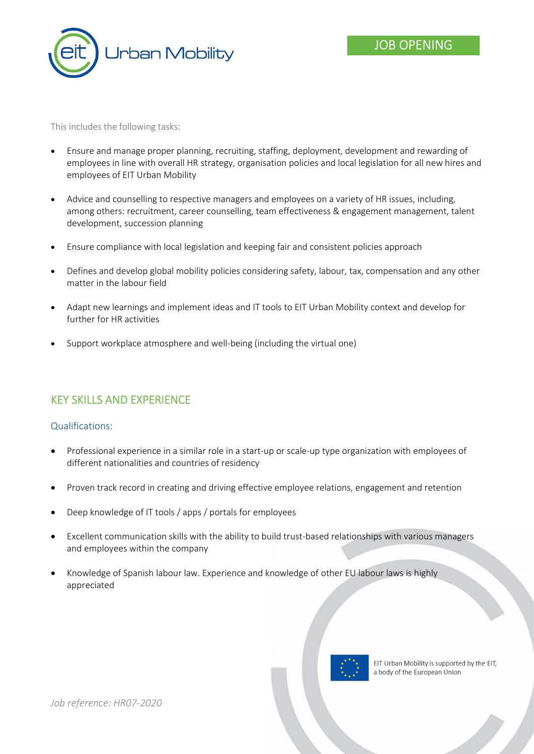

This includes the following tasks:

- Ensure and manage proper planning, recruiting, staffing, deployment, development and rewarding of employees in line with overall HR strategy, organisation policies and local legislation for all new hires and employees of EIT Urban Mobility
- Advice and counselling to respective managers and employees on a variety of HR issues, including, among others: recruitment, career counselling, team effectiveness & engagement management, talent development, succession planning
- Ensure compliance with local legislation and keeping fair and consistent policies approach
- Defines and develop global mobility policies considering safety, labour, tax, compensation and any other matter in the labour field
- Adapt new learnings and implement ideas and IT tools to EIT Urban Mobility context and develop for further for HR activities
- Support workplace atmosphere and well-being (including the virtual one)

## KEY SKILLS AND EXPERIENCE

#### Qualifications:

- Professional experience in a similar role in a start-up or scale-up type organization with employees of different nationalities and countries of residency
- Proven track record in creating and driving effective employee relations, engagement and retention
- Deep knowledge of IT tools / apps / portals for employees
- Excellent communication skills with the ability to build trust-based relationships with various managers and employees within the company
- Knowledge of Spanish labour law. Experience and knowledge of other EU labour laws is highly appreciated

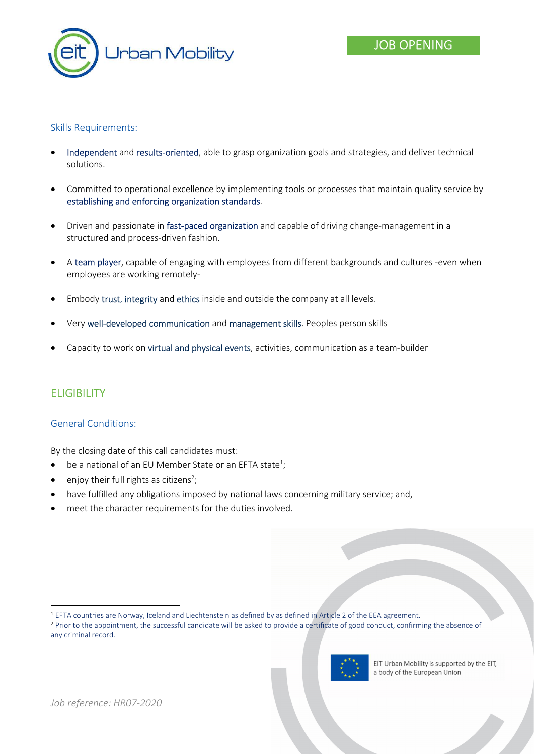

## Skills Requirements:

- Independent and results-oriented, able to grasp organization goals and strategies, and deliver technical solutions.
- Committed to operational excellence by implementing tools or processes that maintain quality service by establishing and enforcing organization standards.
- Driven and passionate in fast-paced organization and capable of driving change-management in a structured and process-driven fashion.
- A team player, capable of engaging with employees from different backgrounds and cultures -even when employees are working remotely-
- Embody trust, integrity and ethics inside and outside the company at all levels.
- Very well-developed communication and management skills. Peoples person skills
- Capacity to work on virtual and physical events, activities, communication as a team-builder

# **ELIGIBILITY**

-

#### General Conditions:

By the closing date of this call candidates must:

- $\bullet$  be a national of an EU Member State or an EFTA state<sup>1</sup>;
- $\bullet$  enjoy their full rights as citizens<sup>2</sup>;
- have fulfilled any obligations imposed by national laws concerning military service; and,
- meet the character requirements for the duties involved.

<sup>&</sup>lt;sup>2</sup> Prior to the appointment, the successful candidate will be asked to provide a certificate of good conduct, confirming the absence of any criminal record.



<sup>1</sup> EFTA countries are Norway, Iceland and Liechtenstein as defined by as defined in Article 2 of the EEA agreement.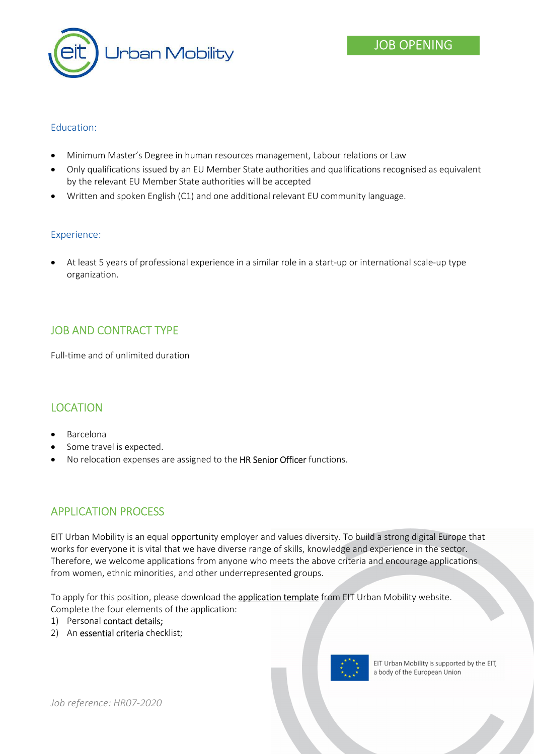

## Education:

- Minimum Master's Degree in human resources management, Labour relations or Law
- Only qualifications issued by an EU Member State authorities and qualifications recognised as equivalent by the relevant EU Member State authorities will be accepted
- Written and spoken English (C1) and one additional relevant EU community language.

#### Experience:

 At least 5 years of professional experience in a similar role in a start-up or international scale-up type organization.

# JOB AND CONTRACT TYPE

Full-time and of unlimited duration

## LOCATION

- Barcelona
- Some travel is expected.
- No relocation expenses are assigned to the HR Senior Officer functions.

## APPLICATION PROCESS

EIT Urban Mobility is an equal opportunity employer and values diversity. To build a strong digital Europe that works for everyone it is vital that we have diverse range of skills, knowledge and experience in the sector. Therefore, we welcome applications from anyone who meets the above criteria and encourage applications from women, ethnic minorities, and other underrepresented groups.

To apply for this position, please download the application template from EIT Urban Mobility website. Complete the four elements of the application:

- 1) Personal contact details;
- 2) An essential criteria checklist;



EIT Urban Mobility is supported by the EIT, a body of the European Union

Job reference: HR07-2020